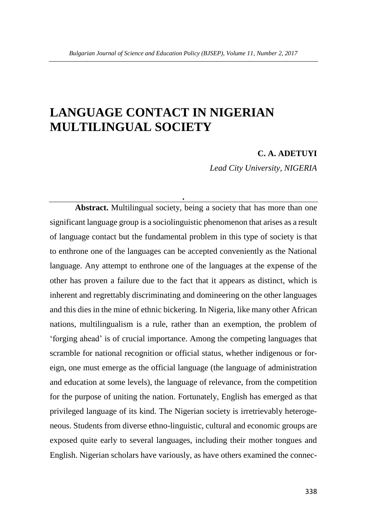# **LANGUAGE CONTACT IN NIGERIAN MULTILINGUAL SOCIETY**

#### **C. A. ADETUYI**

*Lead City University, NIGERIA*

**Abstract.** Multilingual society, being a society that has more than one significant language group is a sociolinguistic phenomenon that arises as a result of language contact but the fundamental problem in this type of society is that to enthrone one of the languages can be accepted conveniently as the National language. Any attempt to enthrone one of the languages at the expense of the other has proven a failure due to the fact that it appears as distinct, which is inherent and regrettably discriminating and domineering on the other languages and this dies in the mine of ethnic bickering. In Nigeria, like many other African nations, multilingualism is a rule, rather than an exemption, the problem of 'forging ahead' is of crucial importance. Among the competing languages that scramble for national recognition or official status, whether indigenous or foreign, one must emerge as the official language (the language of administration and education at some levels), the language of relevance, from the competition for the purpose of uniting the nation. Fortunately, English has emerged as that privileged language of its kind. The Nigerian society is irretrievably heterogeneous. Students from diverse ethno-linguistic, cultural and economic groups are exposed quite early to several languages, including their mother tongues and English. Nigerian scholars have variously, as have others examined the connec-

**.**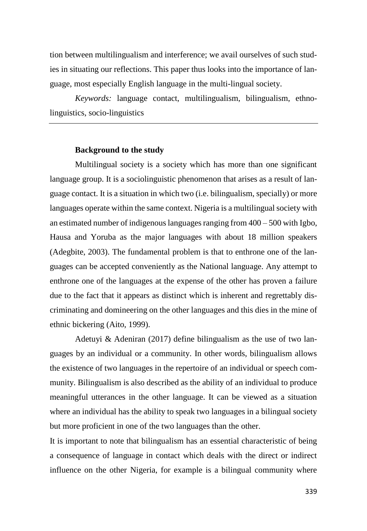tion between multilingualism and interference; we avail ourselves of such studies in situating our reflections. This paper thus looks into the importance of language, most especially English language in the multi-lingual society.

*Keywords:* language contact, multilingualism, bilingualism, ethnolinguistics, socio-linguistics

## **Background to the study**

Multilingual society is a society which has more than one significant language group. It is a sociolinguistic phenomenon that arises as a result of language contact. It is a situation in which two (i.e. bilingualism, specially) or more languages operate within the same context. Nigeria is a multilingual society with an estimated number of indigenous languages ranging from 400 – 500 with Igbo, Hausa and Yoruba as the major languages with about 18 million speakers (Adegbite, 2003). The fundamental problem is that to enthrone one of the languages can be accepted conveniently as the National language. Any attempt to enthrone one of the languages at the expense of the other has proven a failure due to the fact that it appears as distinct which is inherent and regrettably discriminating and domineering on the other languages and this dies in the mine of ethnic bickering (Aito, 1999).

Adetuyi & Adeniran (2017) define bilingualism as the use of two languages by an individual or a community. In other words, bilingualism allows the existence of two languages in the repertoire of an individual or speech community. Bilingualism is also described as the ability of an individual to produce meaningful utterances in the other language. It can be viewed as a situation where an individual has the ability to speak two languages in a bilingual society but more proficient in one of the two languages than the other.

It is important to note that bilingualism has an essential characteristic of being a consequence of language in contact which deals with the direct or indirect influence on the other Nigeria, for example is a bilingual community where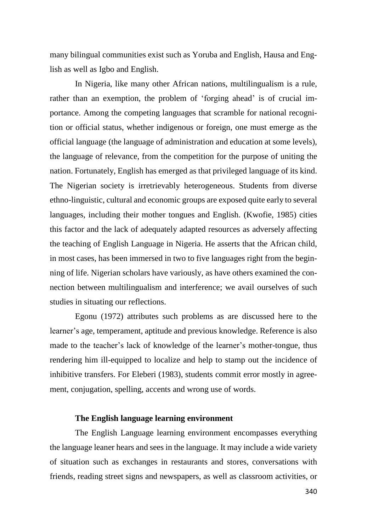many bilingual communities exist such as Yoruba and English, Hausa and English as well as Igbo and English.

In Nigeria, like many other African nations, multilingualism is a rule, rather than an exemption, the problem of 'forging ahead' is of crucial importance. Among the competing languages that scramble for national recognition or official status, whether indigenous or foreign, one must emerge as the official language (the language of administration and education at some levels), the language of relevance, from the competition for the purpose of uniting the nation. Fortunately, English has emerged as that privileged language of its kind. The Nigerian society is irretrievably heterogeneous. Students from diverse ethno-linguistic, cultural and economic groups are exposed quite early to several languages, including their mother tongues and English. (Kwofie, 1985) cities this factor and the lack of adequately adapted resources as adversely affecting the teaching of English Language in Nigeria. He asserts that the African child, in most cases, has been immersed in two to five languages right from the beginning of life. Nigerian scholars have variously, as have others examined the connection between multilingualism and interference; we avail ourselves of such studies in situating our reflections.

Egonu (1972) attributes such problems as are discussed here to the learner's age, temperament, aptitude and previous knowledge. Reference is also made to the teacher's lack of knowledge of the learner's mother-tongue, thus rendering him ill-equipped to localize and help to stamp out the incidence of inhibitive transfers. For Eleberi (1983), students commit error mostly in agreement, conjugation, spelling, accents and wrong use of words.

# **The English language learning environment**

The English Language learning environment encompasses everything the language leaner hears and sees in the language. It may include a wide variety of situation such as exchanges in restaurants and stores, conversations with friends, reading street signs and newspapers, as well as classroom activities, or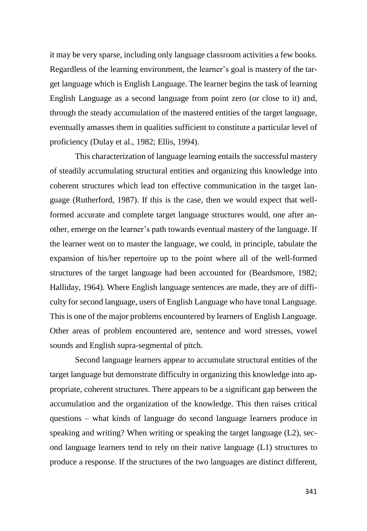it may be very sparse, including only language classroom activities a few books. Regardless of the learning environment, the learner's goal is mastery of the target language which is English Language. The learner begins the task of learning English Language as a second language from point zero (or close to it) and, through the steady accumulation of the mastered entities of the target language, eventually amasses them in qualities sufficient to constitute a particular level of proficiency (Dulay et al., 1982; Ellis, 1994).

This characterization of language learning entails the successful mastery of steadily accumulating structural entities and organizing this knowledge into coherent structures which lead ton effective communication in the target language (Rutherford, 1987). If this is the case, then we would expect that wellformed accurate and complete target language structures would, one after another, emerge on the learner's path towards eventual mastery of the language. If the learner went on to master the language, we could, in principle, tabulate the expansion of his/her repertoire up to the point where all of the well-formed structures of the target language had been accounted for (Beardsmore, 1982; Halliday, 1964). Where English language sentences are made, they are of difficulty for second language, users of English Language who have tonal Language. This is one of the major problems encountered by learners of English Language. Other areas of problem encountered are, sentence and word stresses, vowel sounds and English supra-segmental of pitch.

Second language learners appear to accumulate structural entities of the target language but demonstrate difficulty in organizing this knowledge into appropriate, coherent structures. There appears to be a significant gap between the accumulation and the organization of the knowledge. This then raises critical questions – what kinds of language do second language learners produce in speaking and writing? When writing or speaking the target language (L2), second language learners tend to rely on their native language (L1) structures to produce a response. If the structures of the two languages are distinct different,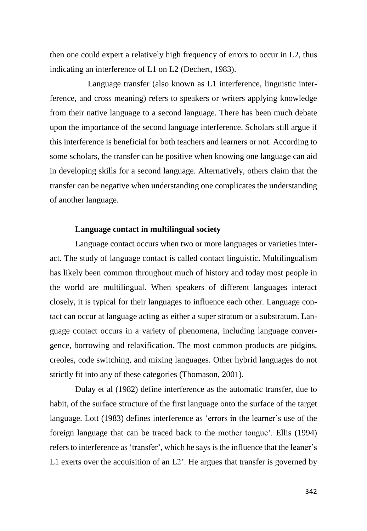then one could expert a relatively high frequency of errors to occur in L2, thus indicating an interference of L1 on L2 (Dechert, 1983).

Language transfer (also known as L1 interference, linguistic interference, and cross meaning) refers to speakers or writers applying knowledge from their native language to a second language. There has been much debate upon the importance of the second language interference. Scholars still argue if this interference is beneficial for both teachers and learners or not. According to some scholars, the transfer can be positive when knowing one language can aid in developing skills for a second language. Alternatively, others claim that the transfer can be negative when understanding one complicates the understanding of another language.

## **Language contact in multilingual society**

Language contact occurs when two or more languages or varieties interact. The study of language contact is called contact linguistic. Multilingualism has likely been common throughout much of history and today most people in the world are multilingual. When speakers of different languages interact closely, it is typical for their languages to influence each other. Language contact can occur at language acting as either a super stratum or a substratum. Language contact occurs in a variety of phenomena, including language convergence, borrowing and relaxification. The most common products are pidgins, creoles, code switching, and mixing languages. Other hybrid languages do not strictly fit into any of these categories (Thomason, 2001).

Dulay et al (1982) define interference as the automatic transfer, due to habit, of the surface structure of the first language onto the surface of the target language. Lott (1983) defines interference as 'errors in the learner's use of the foreign language that can be traced back to the mother tongue'. Ellis (1994) refers to interference as 'transfer', which he says is the influence that the leaner's L1 exerts over the acquisition of an L2'. He argues that transfer is governed by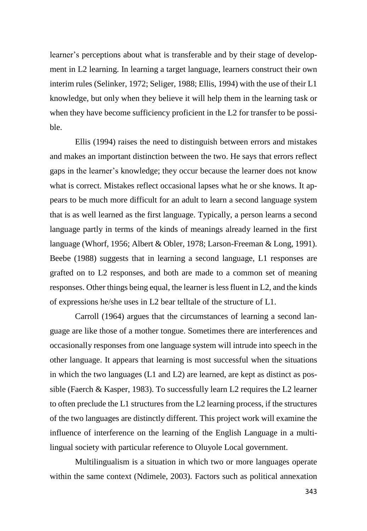learner's perceptions about what is transferable and by their stage of development in L2 learning. In learning a target language, learners construct their own interim rules (Selinker, 1972; Seliger, 1988; Ellis, 1994) with the use of their L1 knowledge, but only when they believe it will help them in the learning task or when they have become sufficiency proficient in the L2 for transfer to be possible.

Ellis (1994) raises the need to distinguish between errors and mistakes and makes an important distinction between the two. He says that errors reflect gaps in the learner's knowledge; they occur because the learner does not know what is correct. Mistakes reflect occasional lapses what he or she knows. It appears to be much more difficult for an adult to learn a second language system that is as well learned as the first language. Typically, a person learns a second language partly in terms of the kinds of meanings already learned in the first language (Whorf, 1956; Albert & Obler, 1978; Larson-Freeman & Long, 1991). Beebe (1988) suggests that in learning a second language, L1 responses are grafted on to L2 responses, and both are made to a common set of meaning responses. Other things being equal, the learner is less fluent in L2, and the kinds of expressions he/she uses in L2 bear telltale of the structure of L1.

Carroll (1964) argues that the circumstances of learning a second language are like those of a mother tongue. Sometimes there are interferences and occasionally responses from one language system will intrude into speech in the other language. It appears that learning is most successful when the situations in which the two languages (L1 and L2) are learned, are kept as distinct as possible (Faerch & Kasper, 1983). To successfully learn L2 requires the L2 learner to often preclude the L1 structures from the L2 learning process, if the structures of the two languages are distinctly different. This project work will examine the influence of interference on the learning of the English Language in a multilingual society with particular reference to Oluyole Local government.

Multilingualism is a situation in which two or more languages operate within the same context (Ndimele, 2003). Factors such as political annexation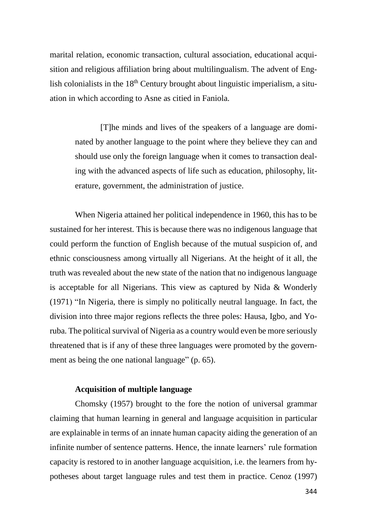marital relation, economic transaction, cultural association, educational acquisition and religious affiliation bring about multilingualism. The advent of English colonialists in the  $18<sup>th</sup>$  Century brought about linguistic imperialism, a situation in which according to Asne as citied in Faniola.

[T]he minds and lives of the speakers of a language are dominated by another language to the point where they believe they can and should use only the foreign language when it comes to transaction dealing with the advanced aspects of life such as education, philosophy, literature, government, the administration of justice.

When Nigeria attained her political independence in 1960, this has to be sustained for her interest. This is because there was no indigenous language that could perform the function of English because of the mutual suspicion of, and ethnic consciousness among virtually all Nigerians. At the height of it all, the truth was revealed about the new state of the nation that no indigenous language is acceptable for all Nigerians. This view as captured by Nida & Wonderly (1971) "In Nigeria, there is simply no politically neutral language. In fact, the division into three major regions reflects the three poles: Hausa, Igbo, and Yoruba. The political survival of Nigeria as a country would even be more seriously threatened that is if any of these three languages were promoted by the government as being the one national language" (p. 65).

# **Acquisition of multiple language**

Chomsky (1957) brought to the fore the notion of universal grammar claiming that human learning in general and language acquisition in particular are explainable in terms of an innate human capacity aiding the generation of an infinite number of sentence patterns. Hence, the innate learners' rule formation capacity is restored to in another language acquisition, i.e. the learners from hypotheses about target language rules and test them in practice. Cenoz (1997)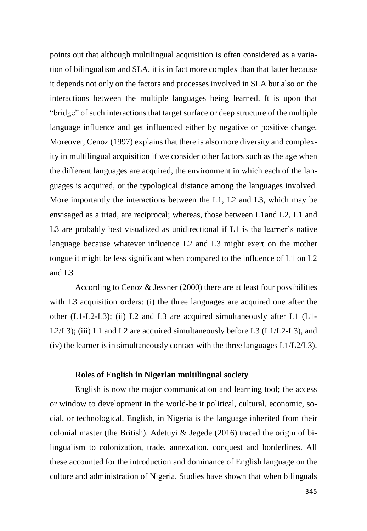points out that although multilingual acquisition is often considered as a variation of bilingualism and SLA, it is in fact more complex than that latter because it depends not only on the factors and processes involved in SLA but also on the interactions between the multiple languages being learned. It is upon that "bridge" of such interactions that target surface or deep structure of the multiple language influence and get influenced either by negative or positive change. Moreover, Cenoz (1997) explains that there is also more diversity and complexity in multilingual acquisition if we consider other factors such as the age when the different languages are acquired, the environment in which each of the languages is acquired, or the typological distance among the languages involved. More importantly the interactions between the L1, L2 and L3, which may be envisaged as a triad, are reciprocal; whereas, those between L1and L2, L1 and L3 are probably best visualized as unidirectional if L1 is the learner's native language because whatever influence L2 and L3 might exert on the mother tongue it might be less significant when compared to the influence of L1 on L2 and L3

According to Cenoz & Jessner (2000) there are at least four possibilities with L3 acquisition orders: (i) the three languages are acquired one after the other (L1-L2-L3); (ii) L2 and L3 are acquired simultaneously after L1 (L1- L2/L3); (iii) L1 and L2 are acquired simultaneously before L3 (L1/L2-L3), and (iv) the learner is in simultaneously contact with the three languages L1/L2/L3).

## **Roles of English in Nigerian multilingual society**

English is now the major communication and learning tool; the access or window to development in the world-be it political, cultural, economic, social, or technological. English, in Nigeria is the language inherited from their colonial master (the British). Adetuyi & Jegede (2016) traced the origin of bilingualism to colonization, trade, annexation, conquest and borderlines. All these accounted for the introduction and dominance of English language on the culture and administration of Nigeria. Studies have shown that when bilinguals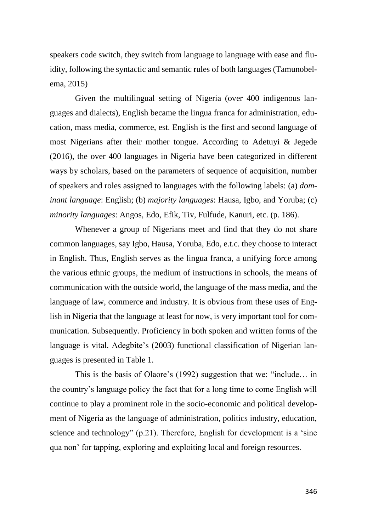speakers code switch, they switch from language to language with ease and fluidity, following the syntactic and semantic rules of both languages (Tamunobelema, 2015)

Given the multilingual setting of Nigeria (over 400 indigenous languages and dialects), English became the lingua franca for administration, education, mass media, commerce, est. English is the first and second language of most Nigerians after their mother tongue. According to Adetuyi & Jegede (2016), the over 400 languages in Nigeria have been categorized in different ways by scholars, based on the parameters of sequence of acquisition, number of speakers and roles assigned to languages with the following labels: (a) *dominant language*: English; (b) *majority languages*: Hausa, Igbo, and Yoruba; (c) *minority languages*: Angos, Edo, Efik, Tiv, Fulfude, Kanuri, etc. (p. 186).

Whenever a group of Nigerians meet and find that they do not share common languages, say Igbo, Hausa, Yoruba, Edo, e.t.c. they choose to interact in English. Thus, English serves as the lingua franca, a unifying force among the various ethnic groups, the medium of instructions in schools, the means of communication with the outside world, the language of the mass media, and the language of law, commerce and industry. It is obvious from these uses of English in Nigeria that the language at least for now, is very important tool for communication. Subsequently. Proficiency in both spoken and written forms of the language is vital. Adegbite's (2003) functional classification of Nigerian languages is presented in Table 1.

This is the basis of Olaore's (1992) suggestion that we: "include… in the country's language policy the fact that for a long time to come English will continue to play a prominent role in the socio-economic and political development of Nigeria as the language of administration, politics industry, education, science and technology" (p.21). Therefore, English for development is a 'sine qua non' for tapping, exploring and exploiting local and foreign resources.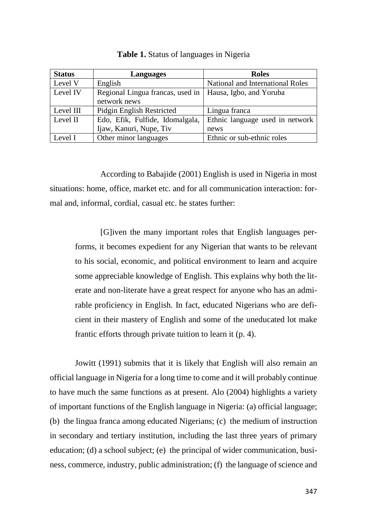| <b>Status</b> | Languages                                                                  | <b>Roles</b>                     |
|---------------|----------------------------------------------------------------------------|----------------------------------|
| Level V       | English                                                                    | National and International Roles |
| Level IV      | Regional Lingua francas, used in   Hausa, Igbo, and Yoruba<br>network news |                                  |
| Level III     | Pidgin English Restricted                                                  | Lingua franca                    |
| Level II      | Edo, Efik, Fulfide, Idomalgala,                                            | Ethnic language used in network  |
|               | Ijaw, Kanuri, Nupe, Tiv                                                    | news                             |
| Level I       | Other minor languages                                                      | Ethnic or sub-ethnic roles       |

**Table 1.** Status of languages in Nigeria

According to Babajide (2001) English is used in Nigeria in most situations: home, office, market etc. and for all communication interaction: formal and, informal, cordial, casual etc. he states further:

[G]iven the many important roles that English languages performs, it becomes expedient for any Nigerian that wants to be relevant to his social, economic, and political environment to learn and acquire some appreciable knowledge of English. This explains why both the literate and non-literate have a great respect for anyone who has an admirable proficiency in English. In fact, educated Nigerians who are deficient in their mastery of English and some of the uneducated lot make frantic efforts through private tuition to learn it (p. 4).

Jowitt (1991) submits that it is likely that English will also remain an official language in Nigeria for a long time to come and it will probably continue to have much the same functions as at present. Alo (2004) highlights a variety of important functions of the English language in Nigeria: (a) official language; (b) the lingua franca among educated Nigerians; (c) the medium of instruction in secondary and tertiary institution, including the last three years of primary education; (d) a school subject; (e) the principal of wider communication, business, commerce, industry, public administration; (f) the language of science and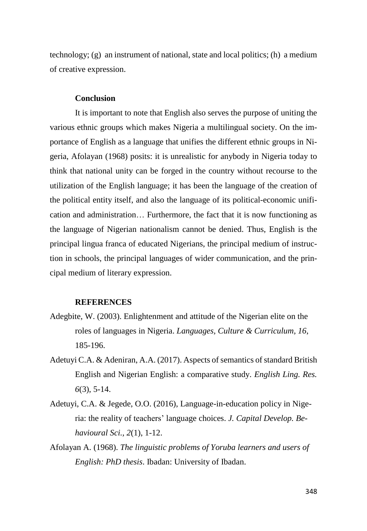technology; (g) an instrument of national, state and local politics; (h) a medium of creative expression.

#### **Conclusion**

It is important to note that English also serves the purpose of uniting the various ethnic groups which makes Nigeria a multilingual society. On the importance of English as a language that unifies the different ethnic groups in Nigeria, Afolayan (1968) posits: it is unrealistic for anybody in Nigeria today to think that national unity can be forged in the country without recourse to the utilization of the English language; it has been the language of the creation of the political entity itself, and also the language of its political-economic unification and administration… Furthermore, the fact that it is now functioning as the language of Nigerian nationalism cannot be denied. Thus, English is the principal lingua franca of educated Nigerians, the principal medium of instruction in schools, the principal languages of wider communication, and the principal medium of literary expression.

#### **REFERENCES**

- Adegbite, W. (2003). Enlightenment and attitude of the Nigerian elite on the roles of languages in Nigeria. *Languages, Culture & Curriculum, 16*, 185-196.
- Adetuyi C.A. & Adeniran, A.A. (2017). Aspects of semantics of standard British English and Nigerian English: a comparative study. *English Ling. Res. 6*(3), 5-14.
- Adetuyi, C.A. & Jegede, O.O. (2016), Language-in-education policy in Nigeria: the reality of teachers' language choices. *J. Capital Develop. Behavioural Sci., 2*(1), 1-12.
- Afolayan A. (1968). *The linguistic problems of Yoruba learners and users of English: PhD thesis*. Ibadan: University of Ibadan.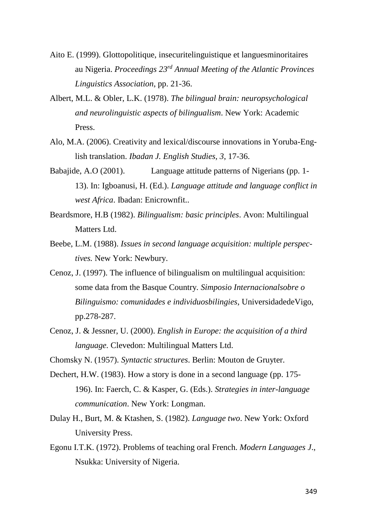- Aito E. (1999). Glottopolitique, insecuritelinguistique et languesminoritaires au Nigeria. *Proceedings 23rd Annual Meeting of the Atlantic Provinces Linguistics Association*, pp. 21-36.
- Albert, M.L. & Obler, L.K. (1978). *The bilingual brain: neuropsychological and neurolinguistic aspects of bilingualism*. New York: Academic Press.
- Alo, M.A. (2006). Creativity and lexical/discourse innovations in Yoruba-English translation. *Ibadan J. English Studies, 3*, 17-36.
- Babajide, A.O (2001). Language attitude patterns of Nigerians (pp. 1- 13). In: Igboanusi, H. (Ed.). *Language attitude and language conflict in west Africa*. Ibadan: Enicrownfit..
- Beardsmore, H.B (1982). *Bilingualism: basic principles*. Avon: Multilingual Matters Ltd.
- Beebe, L.M. (1988). *Issues in second language acquisition: multiple perspectives.* New York: Newbury.
- Cenoz, J. (1997). The influence of bilingualism on multilingual acquisition: some data from the Basque Country*. Simposio Internacionalsobre o Bilinguismo: comunidades e individuosbilingies*, UniversidadedeVigo, pp.278-287.
- Cenoz, J. & Jessner, U. (2000). *English in Europe: the acquisition of a third language.* Clevedon: Multilingual Matters Ltd.
- Chomsky N. (1957). *Syntactic structures*. Berlin: Mouton de Gruyter.
- Dechert, H.W. (1983). How a story is done in a second language (pp. 175- 196). In: Faerch, C. & Kasper, G. (Eds.). *Strategies in inter-language communication*. New York: Longman.
- Dulay H., Burt, M. & Ktashen, S. (1982). *Language two*. New York: Oxford University Press.
- Egonu I.T.K. (1972). Problems of teaching oral French. *Modern Languages J*., Nsukka: University of Nigeria.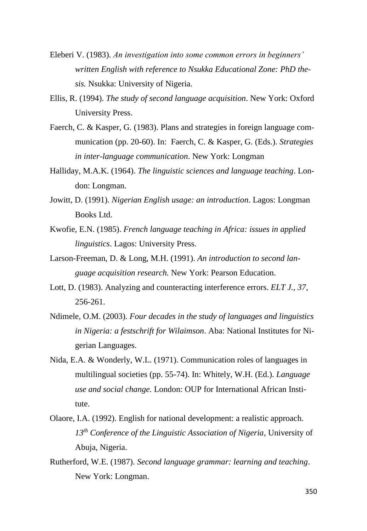- Eleberi V. (1983). *An investigation into some common errors in beginners' written English with reference to Nsukka Educational Zone: PhD thesis.* Nsukka: University of Nigeria.
- Ellis, R. (1994). *The study of second language acquisition*. New York: Oxford University Press.
- Faerch, C. & Kasper, G. (1983). Plans and strategies in foreign language communication (pp. 20-60). In: Faerch, C. & Kasper, G. (Eds.). *Strategies in inter-language communication*. New York: Longman
- Halliday, M.A.K. (1964). *The linguistic sciences and language teaching*. London: Longman.
- Jowitt, D. (1991). *Nigerian English usage: an introduction*. Lagos: Longman Books Ltd.
- Kwofie, E.N. (1985). *French language teaching in Africa: issues in applied linguistics*. Lagos: University Press.
- Larson-Freeman, D. & Long, M.H. (1991). *An introduction to second language acquisition research.* New York: Pearson Education.
- Lott, D. (1983). Analyzing and counteracting interference errors. *ELT J., 37*, 256-261.
- Ndimele, O.M. (2003). *Four decades in the study of languages and linguistics in Nigeria: a festschrift for Wilaimson*. Aba: National Institutes for Nigerian Languages.
- Nida, E.A. & Wonderly, W.L. (1971). Communication roles of languages in multilingual societies (pp. 55-74). In: Whitely, W.H. (Ed.). *Language use and social change.* London: OUP for International African Institute.
- Olaore, I.A. (1992). English for national development: a realistic approach. *13th Conference of the Linguistic Association of Nigeria*, University of Abuja, Nigeria.
- Rutherford, W.E. (1987). *Second language grammar: learning and teaching*. New York: Longman.